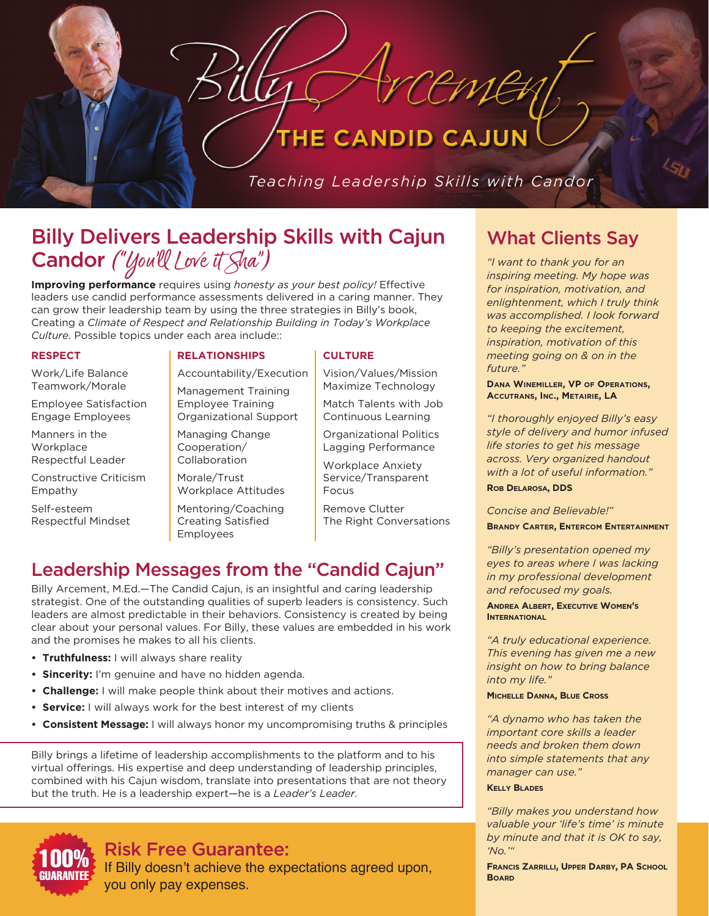#### **CANDID CAJUN** HE.

Teaching Leadership Skills with Candor

CEMER

# Billy Delivers Leadership Skills with Cajun Candor ("You'll Love it Sha")

**Improving performance** requires using *honesty as your best policy!* Effective leaders use candid performance assessments delivered in a caring manner. They can grow their leadership team by using the three strategies in Billy's book, Creating a *Climate of Respect and Relationship Building in Today's Workplace Culture*. Possible topics under each area include::

#### **RESPECT**

Work/Life Balance Teamwork/Morale

Employee Satisfaction Engage Employees

Manners in the **Workplace** Respectful Leader

Constructive Criticism Empathy

Self-esteem Respectful Mindset

#### **RELATIONSHIPS**

Accountability/Execution Management Training Employee Training Organizational Support

Managing Change Cooperation/ Collaboration

Morale/Trust Workplace Attitudes

Mentoring/Coaching Creating Satisfied Employees

#### **CULTURE**

Vision/Values/Mission Maximize Technology Match Talents with Job

Continuous Learning

Organizational Politics Lagging Performance

Workplace Anxiety Service/Transparent Focus

Remove Clutter The Right Conversations

# Leadership Messages from the "Candid Cajun"

Billy Arcement, M.Ed.—The Candid Cajun, is an insightful and caring leadership strategist. One of the outstanding qualities of superb leaders is consistency. Such leaders are almost predictable in their behaviors. Consistency is created by being clear about your personal values. For Billy, these values are embedded in his work and the promises he makes to all his clients.

- **• Truthfulness:** I will always share reality
- **• Sincerity:** I'm genuine and have no hidden agenda.
- **• Challenge:** I will make people think about their motives and actions.
- **• Service:** I will always work for the best interest of my clients
- **• Consistent Message:** I will always honor my uncompromising truths & principles

Billy brings a lifetime of leadership accomplishments to the platform and to his virtual offerings. His expertise and deep understanding of leadership principles, combined with his Cajun wisdom, translate into presentations that are not theory but the truth. He is a leadership expert—he is a *Leader's Leader*.



## Risk Free Guarantee:

If Billy doesn't achieve the expectations agreed upon, you only pay expenses.

# What Clients Say

*"I want to thank you for an inspiring meeting. My hope was for inspiration, motivation, and enlightenment, which I truly think was accomplished. I look forward to keeping the excitement, inspiration, motivation of this meeting going on & on in the future."* 

**Dana Winemiller, VP of Operations, Accutrans, Inc., Metairie, LA**

*"I thoroughly enjoyed Billy's easy style of delivery and humor infused life stories to get his message across. Very organized handout with a lot of useful information."* 

**Rob Delarosa, DDS**

*Concise and Believable!"* 

**Brandy Carter, Entercom Entertainment**

*"Billy's presentation opened my eyes to areas where I was lacking in my professional development and refocused my goals.* 

**Andrea Albert, Executive Women's INTERNATIONAL** 

*"A truly educational experience. This evening has given me a new insight on how to bring balance into my life."* 

#### **Michelle Danna, Blue Cross**

*"A dynamo who has taken the important core skills a leader needs and broken them down into simple statements that any manager can use."*

#### **Kelly Blades**

*"Billy makes you understand how valuable your 'life's time' is minute by minute and that it is OK to say, 'No.'"* 

**Francis Zarrilli, Upper Darby, PA School Board**